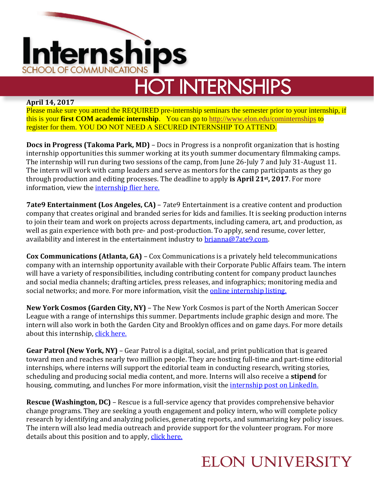

# **HOT INTERNSHIPS**

#### **April 14, 2017**

Please make sure you attend the REQUIRED pre-internship seminars the semester prior to your internship, if this is your **first COM academic internship**. You can go to [http://www.elon.edu/cominternships](http://www.elon.edu/e-web/academics/communications/internships/) to register for them. YOU DO NOT NEED A SECURED INTERNSHIP TO ATTEND.

**Docs in Progress (Takoma Park, MD)** – Docs in Progress is a nonprofit organization that is hosting internship opportunities this summer working at its youth summer documentary filmmaking camps. The internship will run during two sessions of the camp, from June 26-July 7 and July 31-August 11. The intern will work with camp leaders and serve as mentors for the camp participants as they go through production and editing processes. The deadline to apply **is April 21st, 2017**. For more information, view the [internship flier here.](https://d3n8a8pro7vhmx.cloudfront.net/docsinprogress/pages/95/attachments/original/1491443268/DOCS_IN_PROGRESS_SUMMER_TEACHING_INTERN_2017b.pdf?1491443268)

**7ate9 Entertainment (Los Angeles, CA)** – 7ate9 Entertainment is a creative content and production company that creates original and branded series for kids and families. It is seeking production interns to join their team and work on projects across departments, including camera, art, and production, as well as gain experience with both pre- and post-production. To apply, send resume, cover letter, availability and interest in the entertainment industry to [brianna@7ate9.com.](mailto:brianna@7ate9.com)

**Cox Communications (Atlanta, GA)** – Cox Communications is a privately held telecommunications company with an internship opportunity available with their Corporate Public Affairs team. The intern will have a variety of responsibilities, including contributing content for company product launches and social media channels; drafting articles, press releases, and infographics; monitoring media and social networks; and more. For more information, visit the **online internship listing**.

**New York Cosmos (Garden City, NY)** – The New York Cosmos is part of the North American Soccer League with a range of internships this summer. Departments include graphic design and more. The intern will also work in both the Garden City and Brooklyn offices and on game days. For more details about this internship[, click here.](http://nasl.teamworkonline.com/teamwork/jobs/jobskey.cfm?s=cosmos#112086)

**Gear Patrol (New York, NY)** – Gear Patrol is a digital, social, and print publication that is geared toward men and reaches nearly two million people. They are hosting full-time and part-time editorial internships, where interns will support the editorial team in conducting research, writing stories, scheduling and producing social media content, and more. Interns will also receive a **stipend** for housing, commuting, and lunches For more information, visit the *internship post on LinkedIn*.

**Rescue (Washington, DC)** – Rescue is a full-service agency that provides comprehensive behavior change programs. They are seeking a youth engagement and policy intern, who will complete policy research by identifying and analyzing policies, generating reports, and summarizing key policy issues. The intern will also lead media outreach and provide support for the volunteer program. For more details about this position and to apply, [click here.](http://rescueagency.com/careers/position-description/?gnk=job&gni=8a78842b5b41b068015b5f126c262a35)

## **ELON UNIVERSITY**